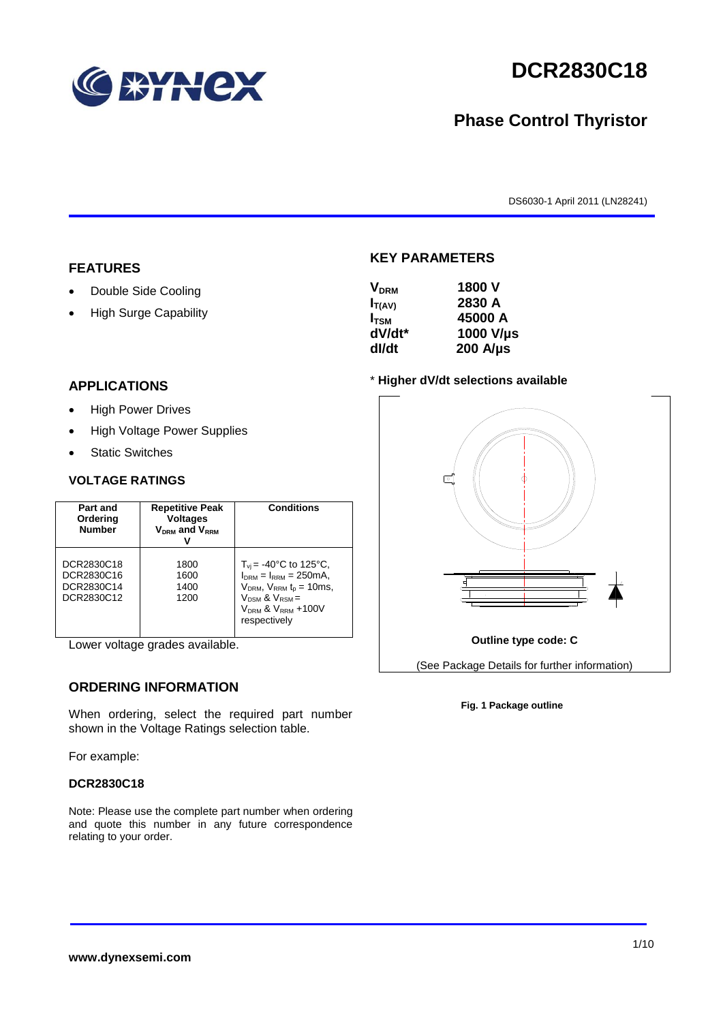

# **DCR2830C18**

# **Phase Control Thyristor**

DS6030-1 April 2011 (LN28241)

### **FEATURES**

- Double Side Cooling
- High Surge Capability

#### **APPLICATIONS**

- High Power Drives
- High Voltage Power Supplies
- Static Switches

#### **VOLTAGE RATINGS**

| Part and<br>Ordering<br><b>Number</b>                | <b>Repetitive Peak</b><br><b>Voltages</b><br>$V_{DRM}$ and $V_{RRM}$ | <b>Conditions</b>                                                                                                                                                                                 |
|------------------------------------------------------|----------------------------------------------------------------------|---------------------------------------------------------------------------------------------------------------------------------------------------------------------------------------------------|
| DCR2830C18<br>DCR2830C16<br>DCR2830C14<br>DCR2830C12 | 1800<br>1600<br>1400<br>1200                                         | $T_{vi}$ = -40°C to 125°C,<br>$I_{DRM} = I_{RRM} = 250 \text{mA}$<br>$V_{DRM}$ , $V_{RRM}$ $t_p = 10$ ms,<br>$V_{DSM}$ & $V_{RSM}$ =<br>V <sub>DRM</sub> & V <sub>RRM</sub> +100V<br>respectively |

Lower voltage grades available.

### **ORDERING INFORMATION**

When ordering, select the required part number shown in the Voltage Ratings selection table.

For example:

#### **DCR2830C18**

Note: Please use the complete part number when ordering and quote this number in any future correspondence relating to your order.

### **KEY PARAMETERS**

| <b>V<sub>DRM</sub></b> | 1800 V           |
|------------------------|------------------|
| $I_{T(AV)}$            | 2830 A           |
| I <sub>tsm</sub>       | 45000 A          |
| dV/dt*                 | 1000 V/µs        |
| dl/dt                  | $200$ A/ $\mu$ s |
|                        |                  |

#### \* **Higher dV/dt selections available**



#### **Fig. 1 Package outline**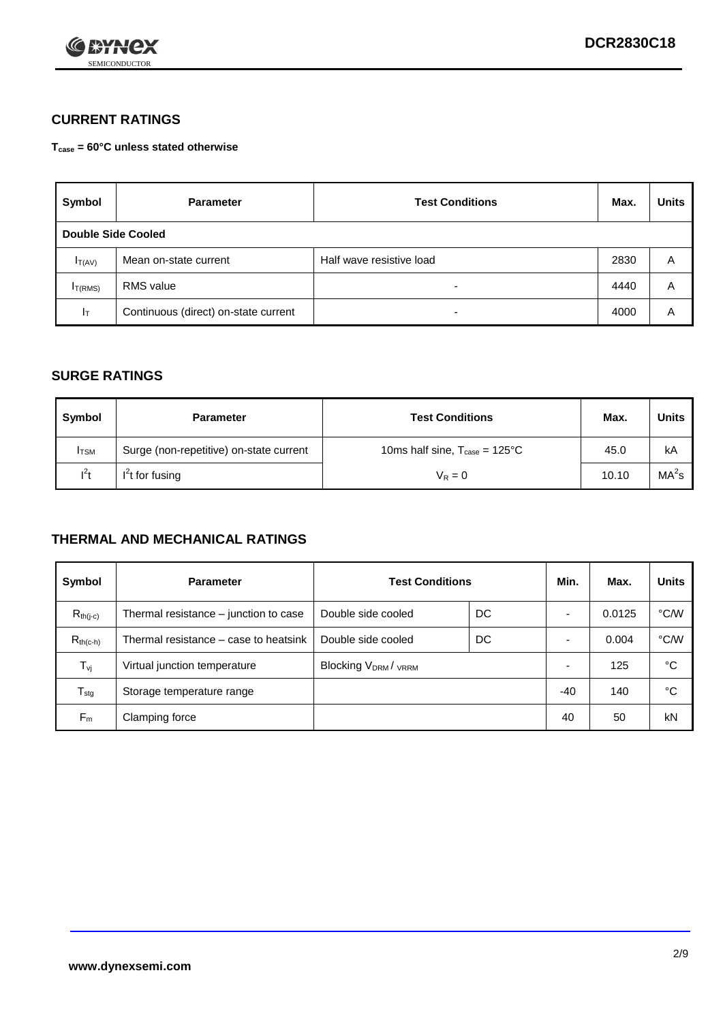

# **CURRENT RATINGS**

**Tcase = 60°C unless stated otherwise**

| Symbol             | <b>Parameter</b>                     | <b>Test Conditions</b>   |      | <b>Units</b> |
|--------------------|--------------------------------------|--------------------------|------|--------------|
| Double Side Cooled |                                      |                          |      |              |
| $I_{T(AV)}$        | Mean on-state current                | Half wave resistive load | 2830 | A            |
| $I_{T(RMS)}$       | RMS value                            | $\overline{\phantom{a}}$ | 4440 | Α            |
| Iт                 | Continuous (direct) on-state current | $\overline{\phantom{a}}$ | 4000 | Α            |

### **SURGE RATINGS**

| Symbol       | <b>Parameter</b>                        | <b>Test Conditions</b>                           | Max.  | Units             |
|--------------|-----------------------------------------|--------------------------------------------------|-------|-------------------|
| <b>I</b> TSM | Surge (non-repetitive) on-state current | 10ms half sine, $T_{\text{case}} = 125^{\circ}C$ | 45.0  | kA                |
| $l^2t$       | $I2t$ for fusing                        | $V_R = 0$                                        | 10.10 | MA <sup>2</sup> s |

## **THERMAL AND MECHANICAL RATINGS**

| Symbol           | <b>Parameter</b>                      | <b>Test Conditions</b>    |    | Min.  | Max.   | <b>Units</b> |
|------------------|---------------------------------------|---------------------------|----|-------|--------|--------------|
| $R_{th(j-c)}$    | Thermal resistance – junction to case | Double side cooled        | DC |       | 0.0125 | °C/W         |
| $R_{th(c-h)}$    | Thermal resistance – case to heatsink | Double side cooled        | DC |       | 0.004  | °C/W         |
| $T_{\nu j}$      | Virtual junction temperature          | <b>Blocking VDRM/VRRM</b> |    |       | 125    | °C           |
| $T_{\text{stg}}$ | Storage temperature range             |                           |    | $-40$ | 140    | °C           |
| $F_m$            | Clamping force                        |                           |    | 40    | 50     | kN           |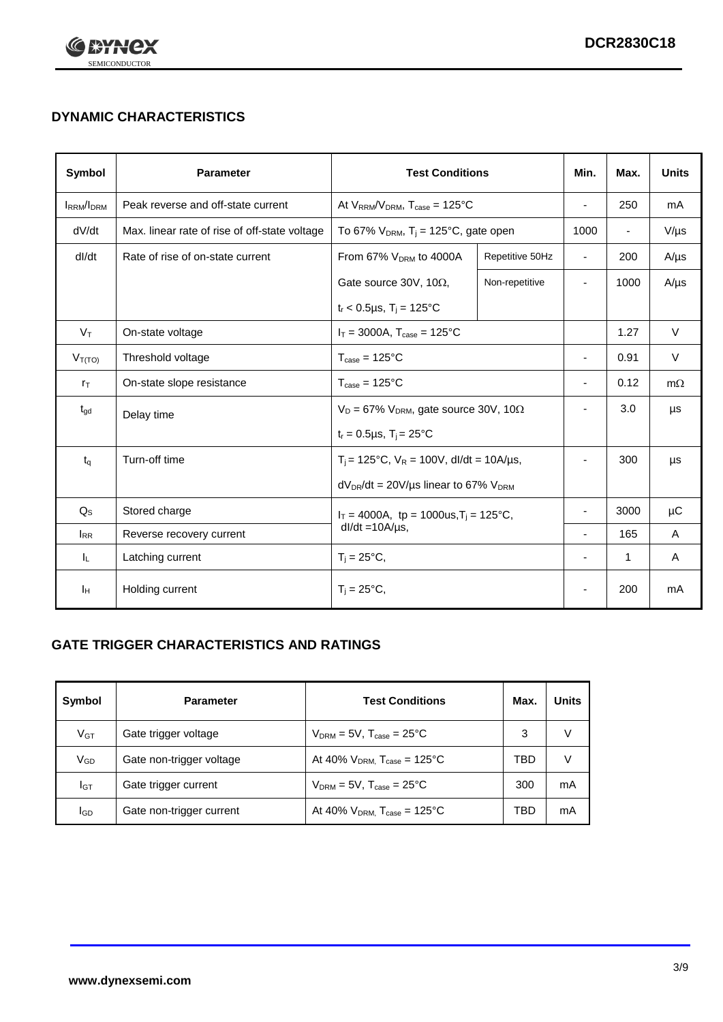

# **DYNAMIC CHARACTERISTICS**

| <b>Symbol</b>     | <b>Parameter</b>                              | <b>Test Conditions</b>                                                        |                                                      | Min.                     | Max.                     | <b>Units</b> |
|-------------------|-----------------------------------------------|-------------------------------------------------------------------------------|------------------------------------------------------|--------------------------|--------------------------|--------------|
| <b>IRRM</b> /IDRM | Peak reverse and off-state current            | At $V_{RRM}/V_{DRM}$ , $T_{case} = 125$ °C                                    |                                                      | $\blacksquare$           | 250                      | mA           |
| dV/dt             | Max. linear rate of rise of off-state voltage |                                                                               | To 67% $V_{DRM}$ , T <sub>i</sub> = 125°C, gate open |                          | $\overline{\phantom{a}}$ | $V/\mu s$    |
| dl/dt             | Rate of rise of on-state current              | From 67% $V_{DRM}$ to 4000A                                                   | Repetitive 50Hz                                      | $\overline{\phantom{a}}$ | 200                      | $A/\mu s$    |
|                   |                                               | Gate source 30V, 10 $\Omega$ ,                                                | Non-repetitive                                       | $\overline{\phantom{a}}$ | 1000                     | $A/\mu s$    |
|                   |                                               | $t_r$ < 0.5µs, T <sub>i</sub> = 125°C                                         |                                                      |                          |                          |              |
| $V_T$             | On-state voltage                              | $I_T = 3000A$ , $T_{case} = 125^{\circ}C$                                     |                                                      |                          | 1.27                     | $\vee$       |
| $V_{T(TO)}$       | Threshold voltage                             | $T_{\text{case}} = 125^{\circ}C$                                              |                                                      | ٠                        | 0.91                     | $\vee$       |
| $r_{\text{T}}$    | On-state slope resistance                     | $T_{\text{case}} = 125^{\circ}C$                                              |                                                      | $\overline{\phantom{a}}$ | 0.12                     | $m\Omega$    |
| $t_{\rm gd}$      | Delay time                                    | $V_D = 67\%$ V <sub>DRM</sub> , gate source 30V, 10 $\Omega$                  |                                                      | ÷,                       | 3.0                      | μs           |
|                   |                                               | $t_r = 0.5 \mu s$ , $T_i = 25^{\circ}C$                                       |                                                      |                          |                          |              |
| $t_{q}$           | Turn-off time                                 | $T_i$ = 125°C, $V_R$ = 100V, dl/dt = 10A/µs,                                  |                                                      | ٠                        | 300                      | μs           |
|                   |                                               | $dV_{DR}/dt = 20V/\mu s$ linear to 67% $V_{DRM}$                              |                                                      |                          |                          |              |
| $Q_{\rm S}$       | Stored charge                                 | $I_T = 4000A$ , tp = 1000us, T <sub>i</sub> = 125°C,<br>$dl/dt = 10A/\mu s$ , |                                                      |                          | 3000                     | $\mu$ C      |
| $I_{RR}$          | Reverse recovery current                      |                                                                               |                                                      |                          | 165                      | A            |
| IL.               | Latching current                              | $T_i = 25^{\circ}C$ ,                                                         |                                                      | -                        | 1                        | Α            |
| Iн                | Holding current                               | $T_i = 25^{\circ}C,$                                                          |                                                      |                          | 200                      | mA           |

# **GATE TRIGGER CHARACTERISTICS AND RATINGS**

| Symbol          | <b>Parameter</b>         | <b>Test Conditions</b>                       | Max. | <b>Units</b> |
|-----------------|--------------------------|----------------------------------------------|------|--------------|
| V <sub>GT</sub> | Gate trigger voltage     | $V_{DRM} = 5V$ , $T_{case} = 25^{\circ}C$    | 3    | V            |
| V <sub>GD</sub> | Gate non-trigger voltage | At 40% $V_{DRM}$ , $T_{case} = 125^{\circ}C$ | TBD  | V            |
| Iст             | Gate trigger current     | $V_{DRM} = 5V$ , $T_{case} = 25^{\circ}C$    | 300  | mA           |
| lgp             | Gate non-trigger current | At 40% $V_{DRM}$ , $T_{case} = 125^{\circ}C$ | TBD  | mA           |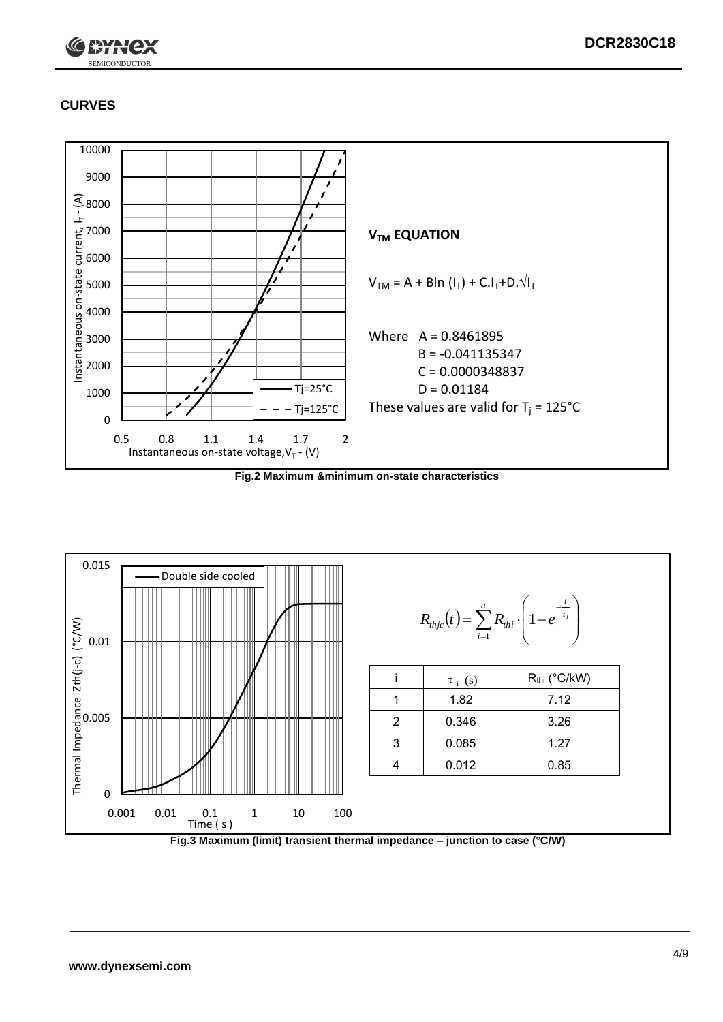

# **CURVES**



**Fig.2 Maximum &minimum on-state characteristics**



**Fig.3 Maximum (limit) transient thermal impedance – junction to case (°C/W)**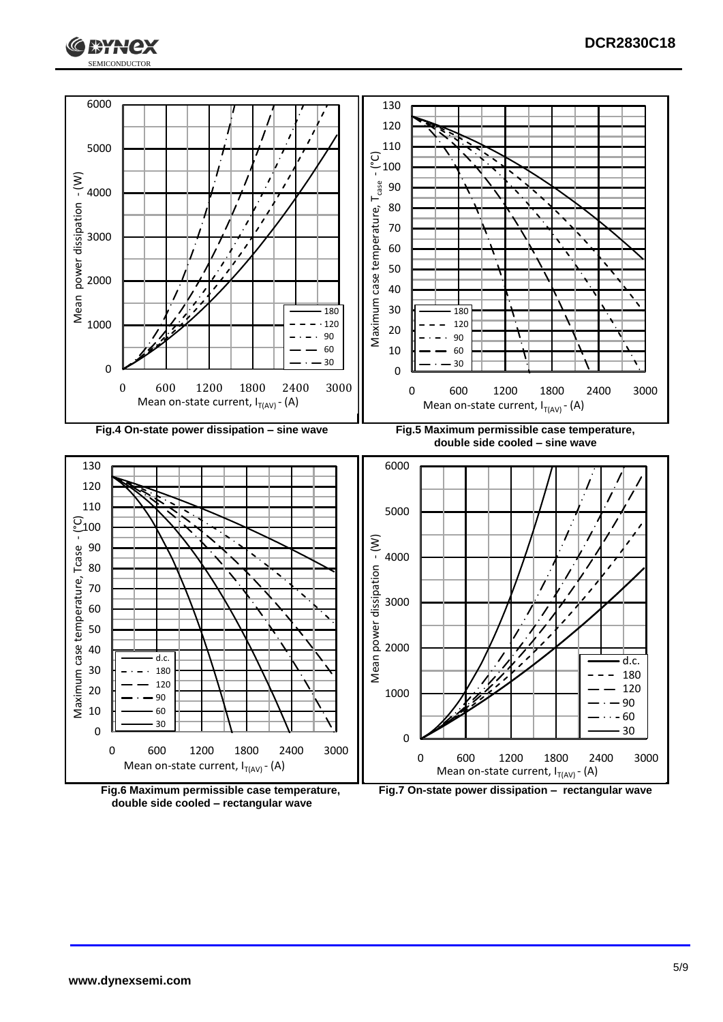





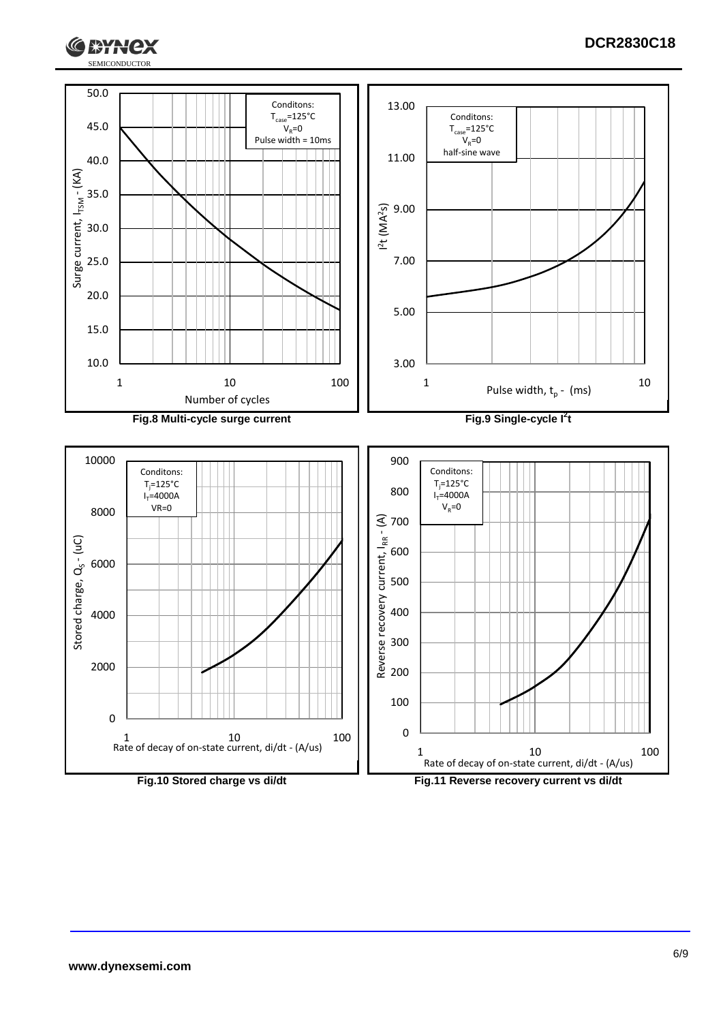

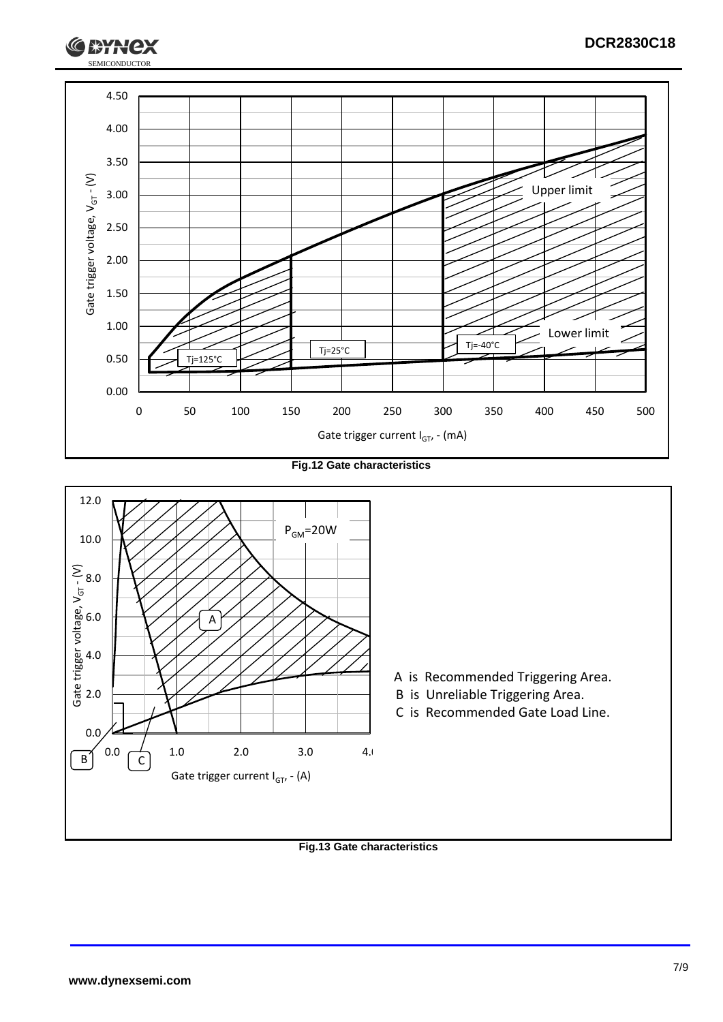

**Fig.12 Gate characteristics**



**Fig.13 Gate characteristics**

SEMICONDUCTOR

**RYH**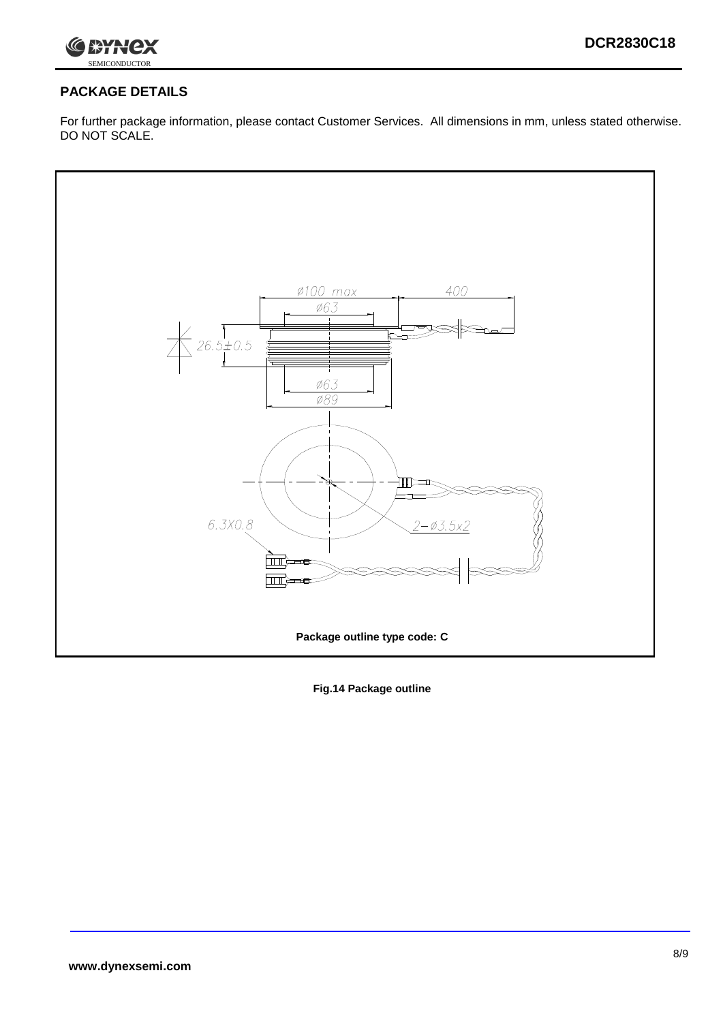

## **PACKAGE DETAILS**

For further package information, please contact Customer Services. All dimensions in mm, unless stated otherwise. DO NOT SCALE.



**Fig.14 Package outline**